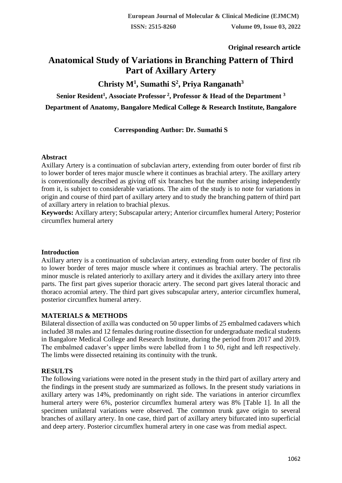# **Original research article**

# **Anatomical Study of Variations in Branching Pattern of Third Part of Axillary Artery**

# **Christy M<sup>1</sup> , Sumathi S<sup>2</sup> , Priya Ranganath<sup>3</sup>**

**Senior Resident<sup>1</sup> , Associate Professor <sup>2</sup> , Professor & Head of the Department <sup>3</sup>**

**Department of Anatomy, Bangalore Medical College & Research Institute, Bangalore**

# **Corresponding Author: Dr. Sumathi S**

#### **Abstract**

Axillary Artery is a continuation of subclavian artery, extending from outer border of first rib to lower border of teres major muscle where it continues as brachial artery. The axillary artery is conventionally described as giving off six branches but the number arising independently from it, is subject to considerable variations. The aim of the study is to note for variations in origin and course of third part of axillary artery and to study the branching pattern of third part of axillary artery in relation to brachial plexus.

**Keywords:** Axillary artery; Subscapular artery; Anterior circumflex humeral Artery; Posterior circumflex humeral artery

#### **Introduction**

Axillary artery is a continuation of subclavian artery, extending from outer border of first rib to lower border of teres major muscle where it continues as brachial artery. The pectoralis minor muscle is related anteriorly to axillary artery and it divides the axillary artery into three parts. The first part gives superior thoracic artery. The second part gives lateral thoracic and thoraco acromial artery. The third part gives subscapular artery, anterior circumflex humeral, posterior circumflex humeral artery.

#### **MATERIALS & METHODS**

Bilateral dissection of axilla was conducted on 50 upper limbs of 25 embalmed cadavers which included 38 males and 12 females during routine dissection for undergraduate medical students in Bangalore Medical College and Research Institute, during the period from 2017 and 2019. The embalmed cadaver's upper limbs were labelled from 1 to 50, right and left respectively. The limbs were dissected retaining its continuity with the trunk.

#### **RESULTS**

The following variations were noted in the present study in the third part of axillary artery and the findings in the present study are summarized as follows. In the present study variations in axillary artery was 14%, predominantly on right side. The variations in anterior circumflex humeral artery were 6%, posterior circumflex humeral artery was 8% [Table 1]. In all the specimen unilateral variations were observed. The common trunk gave origin to several branches of axillary artery. In one case, third part of axillary artery bifurcated into superficial and deep artery. Posterior circumflex humeral artery in one case was from medial aspect.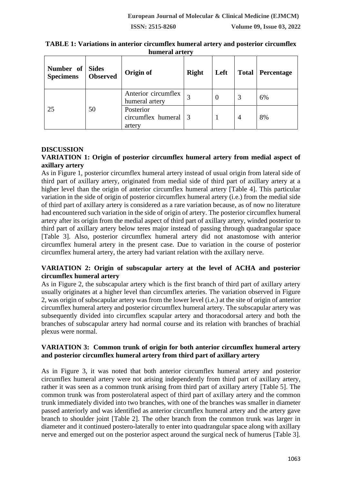**Number of Specimens Sides Observed Origin of Right Left Total Percentage** 25 50 Anterior circumflex  $\begin{array}{c|c|c|c|c} \text{Americanlex} & 3 & 0 & 3 & 6\% \end{array}$ Posterior circumflex humeral artery 3 | 1 | 4 | 8%

**TABLE 1: Variations in anterior circumflex humeral artery and posterior circumflex humeral artery**

#### **DISCUSSION**

# **VARIATION 1: Origin of posterior circumflex humeral artery from medial aspect of axillary artery**

As in Figure 1, posterior circumflex humeral artery instead of usual origin from lateral side of third part of axillary artery, originated from medial side of third part of axillary artery at a higher level than the origin of anterior circumflex humeral artery [Table 4]. This particular variation in the side of origin of posterior circumflex humeral artery (i.e.) from the medial side of third part of axillary artery is considered as a rare variation because, as of now no literature had encountered such variation in the side of origin of artery. The posterior circumflex humeral artery after its origin from the medial aspect of third part of axillary artery, winded posterior to third part of axillary artery below teres major instead of passing through quadrangular space [Table 3]. Also, posterior circumflex humeral artery did not anastomose with anterior circumflex humeral artery in the present case. Due to variation in the course of posterior circumflex humeral artery, the artery had variant relation with the axillary nerve.

#### **VARIATION 2: Origin of subscapular artery at the level of ACHA and posterior circumflex humeral artery**

As in Figure 2, the subscapular artery which is the first branch of third part of axillary artery usually originates at a higher level than circumflex arteries. The variation observed in Figure 2, was origin of subscapular artery was from the lower level (i.e.) at the site of origin of anterior circumflex humeral artery and posterior circumflex humeral artery. The subscapular artery was subsequently divided into circumflex scapular artery and thoracodorsal artery and both the branches of subscapular artery had normal course and its relation with branches of brachial plexus were normal.

#### **VARIATION 3: Common trunk of origin for both anterior circumflex humeral artery and posterior circumflex humeral artery from third part of axillary artery**

As in Figure 3, it was noted that both anterior circumflex humeral artery and posterior circumflex humeral artery were not arising independently from third part of axillary artery, rather it was seen as a common trunk arising from third part of axillary artery [Table 5]. The common trunk was from posterolateral aspect of third part of axillary artery and the common trunk immediately divided into two branches, with one of the branches was smaller in diameter passed anteriorly and was identified as anterior circumflex humeral artery and the artery gave branch to shoulder joint [Table 2]. The other branch from the common trunk was larger in diameter and it continued postero-laterally to enter into quadrangular space along with axillary nerve and emerged out on the posterior aspect around the surgical neck of humerus [Table 3].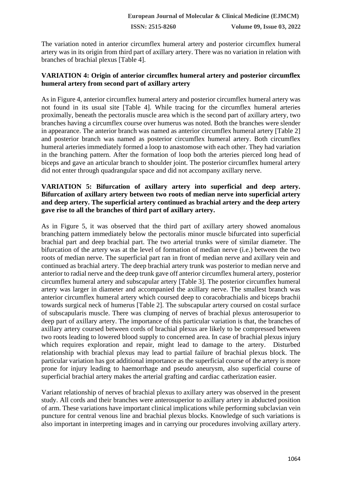The variation noted in anterior circumflex humeral artery and posterior circumflex humeral artery was in its origin from third part of axillary artery. There was no variation in relation with branches of brachial plexus [Table 4].

#### **VARIATION 4: Origin of anterior circumflex humeral artery and posterior circumflex humeral artery from second part of axillary artery**

As in Figure 4, anterior circumflex humeral artery and posterior circumflex humeral artery was not found in its usual site [Table 4]. While tracing for the circumflex humeral arteries proximally, beneath the pectoralis muscle area which is the second part of axillary artery, two branches having a circumflex course over humerus was noted. Both the branches were slender in appearance. The anterior branch was named as anterior circumflex humeral artery [Table 2] and posterior branch was named as posterior circumflex humeral artery. Both circumflex humeral arteries immediately formed a loop to anastomose with each other. They had variation in the branching pattern. After the formation of loop both the arteries pierced long head of biceps and gave an articular branch to shoulder joint. The posterior circumflex humeral artery did not enter through quadrangular space and did not accompany axillary nerve.

#### **VARIATION 5: Bifurcation of axillary artery into superficial and deep artery. Bifurcation of axillary artery between two roots of median nerve into superficial artery and deep artery. The superficial artery continued as brachial artery and the deep artery gave rise to all the branches of third part of axillary artery.**

As in Figure 5, it was observed that the third part of axillary artery showed anomalous branching pattern immediately below the pectoralis minor muscle bifurcated into superficial brachial part and deep brachial part. The two arterial trunks were of similar diameter. The bifurcation of the artery was at the level of formation of median nerve (i.e.) between the two roots of median nerve. The superficial part ran in front of median nerve and axillary vein and continued as brachial artery. The deep brachial artery trunk was posterior to median nerve and anterior to radial nerve and the deep trunk gave off anterior circumflex humeral artery, posterior circumflex humeral artery and subscapular artery [Table 3]. The posterior circumflex humeral artery was larger in diameter and accompanied the axillary nerve. The smallest branch was anterior circumflex humeral artery which coursed deep to coracobrachialis and biceps brachii towards surgical neck of humerus [Table 2]. The subscapular artery coursed on costal surface of subscapularis muscle. There was clumping of nerves of brachial plexus anterosuperior to deep part of axillary artery. The importance of this particular variation is that, the branches of axillary artery coursed between cords of brachial plexus are likely to be compressed between two roots leading to lowered blood supply to concerned area. In case of brachial plexus injury which requires exploration and repair, might lead to damage to the artery. Disturbed relationship with brachial plexus may lead to partial failure of brachial plexus block. The particular variation has got additional importance as the superficial course of the artery is more prone for injury leading to haemorrhage and pseudo aneurysm, also superficial course of superficial brachial artery makes the arterial grafting and cardiac catherization easier.

Variant relationship of nerves of brachial plexus to axillary artery was observed in the present study. All cords and their branches were anterosuperior to axillary artery in abducted position of arm. These variations have important clinical implications while performing subclavian vein puncture for central venous line and brachial plexus blocks. Knowledge of such variations is also important in interpreting images and in carrying our procedures involving axillary artery.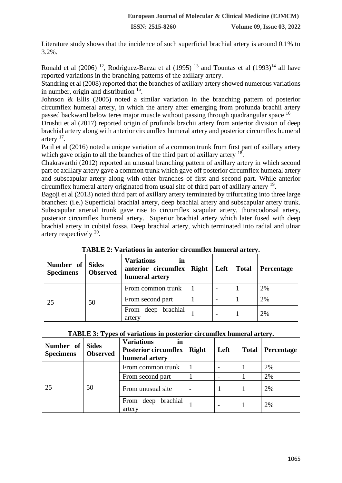Literature study shows that the incidence of such superficial brachial artery is around 0.1% to 3.2%.

Ronald et al  $(2006)$ <sup>12</sup>, Rodriguez-Baeza et al  $(1995)$ <sup>13</sup> and Tountas et al  $(1993)$ <sup>14</sup> all have reported variations in the branching patterns of the axillary artery.

Standring et al (2008) reported that the branches of axillary artery showed numerous variations in number, origin and distribution <sup>15</sup>.

Johnson & Ellis (2005) noted a similar variation in the branching pattern of posterior circumflex humeral artery, in which the artery after emerging from profunda brachii artery passed backward below teres major muscle without passing through quadrangular space <sup>16</sup>

Drushti et al (2017) reported origin of profunda brachii artery from anterior division of deep brachial artery along with anterior circumflex humeral artery and posterior circumflex humeral artery <sup>17</sup>.

Patil et al (2016) noted a unique variation of a common trunk from first part of axillary artery which gave origin to all the branches of the third part of axillary artery  $18$ .

Chakravarthi (2012) reported an unusual branching pattern of axillary artery in which second part of axillary artery gave a common trunk which gave off posterior circumflex humeral artery and subscapular artery along with other branches of first and second part. While anterior circumflex humeral artery originated from usual site of third part of axillary artery <sup>19</sup>.

Bagoji et al (2013) noted third part of axillary artery terminated by trifurcating into three large branches: (i.e.) Superficial brachial artery, deep brachial artery and subscapular artery trunk. Subscapular arterial trunk gave rise to circumflex scapular artery, thoracodorsal artery, posterior circumflex humeral artery. Superior brachial artery which later fused with deep brachial artery in cubital fossa. Deep brachial artery, which terminated into radial and ulnar artery respectively  $20$ .

| Number of Sides<br><b>Specimens</b> | <b>Observed</b> | <b>Variations</b><br>in<br>anterior circumflex<br>humeral artery | <b>Right</b> | Left | <b>Total</b> | <b>Percentage</b> |
|-------------------------------------|-----------------|------------------------------------------------------------------|--------------|------|--------------|-------------------|
| 25                                  | 50              | From common trunk                                                |              |      |              | 2%                |
|                                     |                 | From second part                                                 |              |      |              | 2%                |
|                                     |                 | From deep brachial<br>artery                                     |              |      |              | 2%                |

**TABLE 2: Variations in anterior circumflex humeral artery.**

|  |  | TABLE 3: Types of variations in posterior circumflex humeral artery. |
|--|--|----------------------------------------------------------------------|
|  |  |                                                                      |

| Number of<br><b>Specimens</b> | <b>Sides</b><br><b>Observed</b> | <b>Variations</b><br>in<br><b>Posterior circumflex</b><br>humeral artery | <b>Right</b> | Left | <b>Total</b> | Percentage |
|-------------------------------|---------------------------------|--------------------------------------------------------------------------|--------------|------|--------------|------------|
| 25                            | 50                              | From common trunk                                                        |              |      |              | 2%         |
|                               |                                 | From second part                                                         |              |      |              | 2%         |
|                               |                                 | From unusual site                                                        |              |      |              | 2%         |
|                               |                                 | brachial<br>From deep<br>artery                                          |              |      |              | 2%         |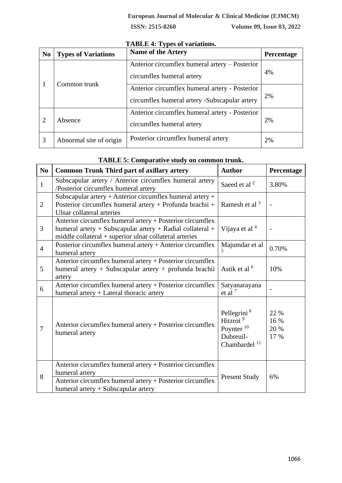| N <sub>0</sub>              | <b>Types of Variations</b> | <b>Name of the Artery</b>                                                                       | Percentage |
|-----------------------------|----------------------------|-------------------------------------------------------------------------------------------------|------------|
|                             | Common trunk               | Anterior circumflex humeral artery – Posterior<br>circumflex humeral artery                     | 4%         |
|                             |                            | Anterior circumflex humeral artery - Posterior<br>circumflex humeral artery -Subscapular artery | 2%         |
| $\mathcal{D}_{\mathcal{L}}$ | Absence                    | Anterior circumflex humeral artery - Posterior<br>circumflex humeral artery                     | 2%         |
| 3                           | Abnormal site of origin    | Posterior circumflex humeral artery                                                             | 2%         |

# **TABLE 4: Types of variations.**

#### **TABLE 5: Comparative study on common trunk.**

| N <sub>0</sub> | <b>Common Trunk Third part of axillary artery</b>                                                                                                                                | <b>Author</b>                                                                                                     | Percentage                   |
|----------------|----------------------------------------------------------------------------------------------------------------------------------------------------------------------------------|-------------------------------------------------------------------------------------------------------------------|------------------------------|
| $\mathbf{1}$   | Subscapular artery / Anterior circumflex humeral artery<br>/Posterior circumflex humeral artery                                                                                  | Saeed et al <sup>2</sup>                                                                                          | 3.80%                        |
| $\overline{2}$ | Subscapular artery + Anterior circumflex humeral artery +<br>Posterior circumflex humeral artery + Profunda brachii +<br>Ulnar collateral arteries                               | Ramesh et al <sup>3</sup>                                                                                         |                              |
| $\overline{3}$ | Anterior circumflex humeral artery + Posterior circumflex<br>humeral artery + Subscapular artery + Radial collateral +<br>middle collateral + superior ulnar collateral arteries | Vijaya et al <sup>4</sup>                                                                                         |                              |
| $\overline{4}$ | Posterior circumflex humeral artery + Anterior circumflex<br>humeral artery                                                                                                      | Majumdar et al                                                                                                    | 0.70%                        |
| 5              | Anterior circumflex humeral artery + Posterior circumflex<br>humeral artery + Subscapular artery + profunda brachii<br>artery                                                    | Astik et al <sup>6</sup>                                                                                          | 10%                          |
| 6              | Anterior circumflex humeral artery + Posterior circumflex<br>humeral artery + Lateral thoracic artery                                                                            | Satyanarayana<br>et al $7$                                                                                        |                              |
| $\overline{7}$ | Anterior circumflex humeral artery + Posterior circumflex<br>humeral artery                                                                                                      | Pellegrini <sup>8</sup><br>Hitzrot <sup>9</sup><br>Poynter <sup>10</sup><br>Dubreuil-<br>Chambardel <sup>11</sup> | 22 %<br>16 %<br>20 %<br>17 % |
| 8              | Anterior circumflex humeral artery + Posterior circumflex<br>humeral artery<br>Anterior circumflex humeral artery + Posterior circumflex<br>humeral artery + Subscapular artery  | <b>Present Study</b>                                                                                              | 6%                           |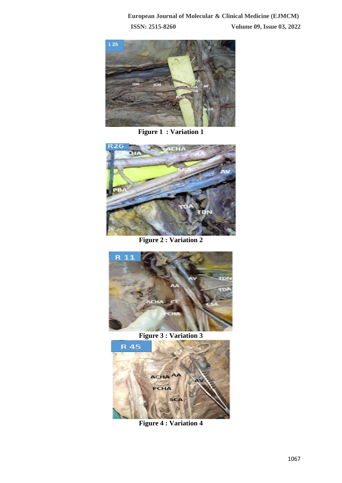

**Figure 1 : Variation 1**



**Figure 2 : Variation 2**



**Figure 3 : Variation 3**



**Figure 4 : Variation 4**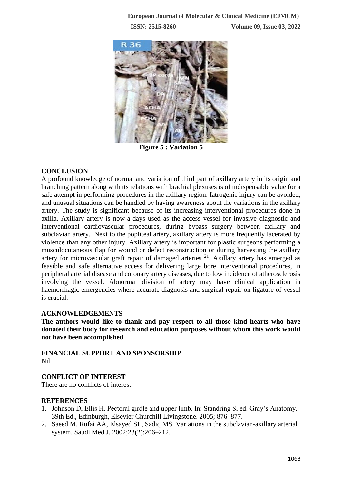

**Figure 5 : Variation 5**

# **CONCLUSION**

A profound knowledge of normal and variation of third part of axillary artery in its origin and branching pattern along with its relations with brachial plexuses is of indispensable value for a safe attempt in performing procedures in the axillary region. Iatrogenic injury can be avoided, and unusual situations can be handled by having awareness about the variations in the axillary artery. The study is significant because of its increasing interventional procedures done in axilla. Axillary artery is now-a-days used as the access vessel for invasive diagnostic and interventional cardiovascular procedures, during bypass surgery between axillary and subclavian artery. Next to the popliteal artery, axillary artery is more frequently lacerated by violence than any other injury. Axillary artery is important for plastic surgeons performing a musculocutaneous flap for wound or defect reconstruction or during harvesting the axillary artery for microvascular graft repair of damaged arteries  $21$ . Axillary artery has emerged as feasible and safe alternative access for delivering large bore interventional procedures, in peripheral arterial disease and coronary artery diseases, due to low incidence of atherosclerosis involving the vessel. Abnormal division of artery may have clinical application in haemorrhagic emergencies where accurate diagnosis and surgical repair on ligature of vessel is crucial.

#### **ACKNOWLEDGEMENTS**

**The authors would like to thank and pay respect to all those kind hearts who have donated their body for research and education purposes without whom this work would not have been accomplished**

**FINANCIAL SUPPORT AND SPONSORSHIP** Nil.

# **CONFLICT OF INTEREST**

There are no conflicts of interest.

#### **REFERENCES**

- 1. Johnson D, Ellis H. Pectoral girdle and upper limb. In: Standring S, ed. Gray's Anatomy. 39th Ed., Edinburgh, Elsevier Churchill Livingstone. 2005; 876–877.
- 2. Saeed M, Rufai AA, Elsayed SE, Sadiq MS. Variations in the subclavian-axillary arterial system. Saudi Med J. 2002;23(2):206–212.